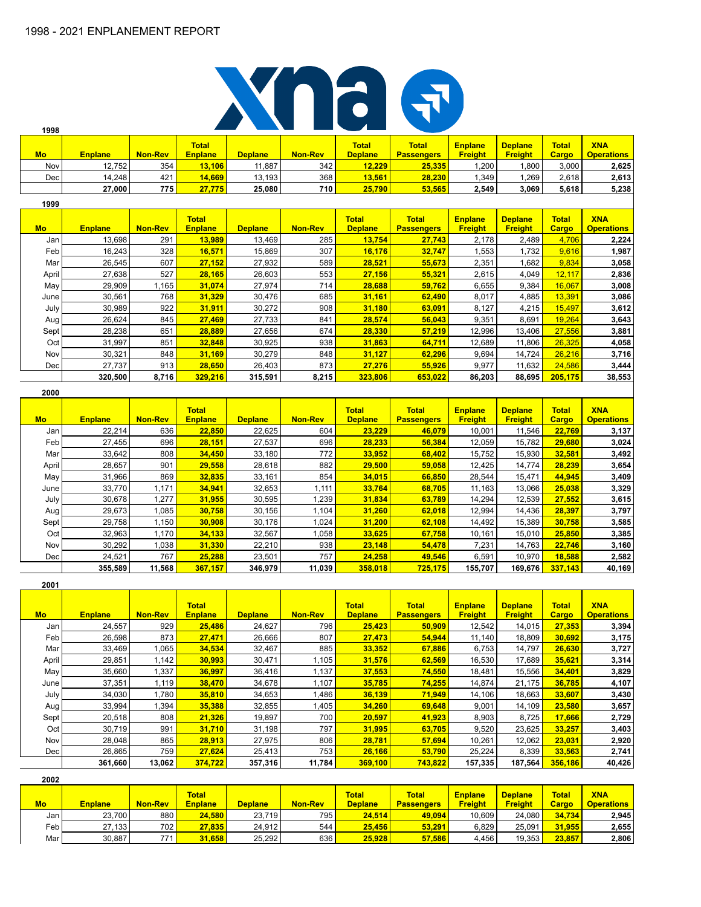

| Mo         | <b>Enplane</b> | <b>Non-Rev</b> | <b>Total</b><br><b>Enplane</b> | <b>Deplane</b> | <b>Non-Rev</b> | <b>Total</b><br><b>Deplane</b> | <b>Total</b><br><b>Passengers</b> | <b>Enplane</b><br><b>Freight</b> | <b>Deplane</b><br><b>Freight</b> | <b>Total</b><br>Cargo | <b>XNA</b><br><b>Operations</b> |
|------------|----------------|----------------|--------------------------------|----------------|----------------|--------------------------------|-----------------------------------|----------------------------------|----------------------------------|-----------------------|---------------------------------|
| <b>Nov</b> | 12,752         | 354            | 13,106                         | 11.887         | 342            | 12,229                         | 25,335                            | 1,200                            | .800                             | 3,000                 | 2,625                           |
| Dec        | 14,248         | 421            | 14,669                         | 13, 193        | 368            | 13,561                         | 28,230                            | 1.349                            | .269                             | 2,618                 | 2,613                           |
|            | 27.000         | 775            | 27,775                         | 25,080         | 710            | 25,790                         | 53.565                            | 2,549                            | 3,069                            | 5,618                 | 5,238                           |
| 1999       |                |                |                                |                |                |                                |                                   |                                  |                                  |                       |                                 |

| <b>Mo</b> | <b>Enplane</b> | <b>Non-Rev</b> | <b>Total</b><br><b>Enplane</b> | <b>Deplane</b> | <b>Non-Rev</b> | <b>Total</b><br><b>Deplane</b> | <b>Total</b><br><b>Passengers</b> | <b>Enplane</b><br><b>Freight</b> | <b>Deplane</b><br><b>Freight</b> | <b>Total</b><br><b>Cargo</b> | <b>XNA</b><br><b>Operations</b> |
|-----------|----------------|----------------|--------------------------------|----------------|----------------|--------------------------------|-----------------------------------|----------------------------------|----------------------------------|------------------------------|---------------------------------|
| Jan       | 13,698         | 291            | 13,989                         | 13,469         | 285            | 13,754                         | 27,743                            | 2,178                            | 2,489                            | 4,706                        | 2,224                           |
| Feb       | 16,243         | 328            | 16,571                         | 15,869         | 307            | 16,176                         | 32.747                            | 1,553                            | 1,732                            | 9,616                        | 1,987                           |
| Mar       | 26,545         | 607            | 27,152                         | 27,932         | 589            | 28,521                         | 55,673                            | 2,351                            | 1,682                            | 9,834                        | 3,058                           |
| April     | 27,638         | 527            | 28,165                         | 26,603         | 553            | 27,156                         | 55,321                            | 2,615                            | 4,049                            | 12,117                       | 2,836                           |
| May       | 29,909         | 1,165          | 31,074                         | 27,974         | 714            | 28,688                         | 59,762                            | 6,655                            | 9,384                            | 16,067                       | 3,008                           |
| June      | 30,561         | 768            | 31,329                         | 30,476         | 685            | 31,161                         | 62,490                            | 8,017                            | 4,885                            | 13,391                       | 3,086                           |
| July      | 30,989         | 922            | 31,911                         | 30,272         | 908            | 31,180                         | 63,091                            | 8,127                            | 4,215                            | 15,497                       | 3,612                           |
| Aug       | 26,624         | 845            | 27,469                         | 27,733         | 841            | 28,574                         | 56,043                            | 9,351                            | 8,691                            | 19,264                       | 3,643                           |
| Sept      | 28,238         | 651            | 28,889                         | 27,656         | 674            | 28,330                         | 57,219                            | 12,996                           | 13,406                           | 27,556                       | 3,881                           |
| Oct       | 31,997         | 851            | 32,848                         | 30,925         | 938            | 31,863                         | 64,711                            | 12,689                           | 11,806                           | 26,325                       | 4,058                           |
| Nov       | 30,321         | 848            | 31,169                         | 30,279         | 848            | 31,127                         | 62,296                            | 9,694                            | 14,724                           | 26,216                       | 3,716                           |
| Dec       | 27,737         | 913            | 28,650                         | 26,403         | 873            | 27,276                         | 55,926                            | 9,977                            | 11,632                           | 24,586                       | 3,444                           |
|           | 320,500        | 8,716          | 329,216                        | 315,591        | 8,215          | 323,806                        | 653,022                           | 86,203                           | 88,695                           | 205,175                      | 38,553                          |

#### **2000**

**1998**

| <b>Mo</b>        | <b>Enplane</b> | <b>Non-Rev</b> | <b>Total</b><br><b>Enplane</b> | <b>Deplane</b> | <b>Non-Rev</b> | <b>Total</b><br><b>Deplane</b> | <b>Total</b><br><b>Passengers</b> | <b>Enplane</b><br><b>Freight</b> | <b>Deplane</b><br><b>Freight</b> | <b>Total</b><br>Cargo | <b>XNA</b><br><b>Operations</b> |
|------------------|----------------|----------------|--------------------------------|----------------|----------------|--------------------------------|-----------------------------------|----------------------------------|----------------------------------|-----------------------|---------------------------------|
| Jan              | 22,214         | 636            | 22,850                         | 22,625         | 604            | 23,229                         | 46.079                            | 10.001                           | 11,546                           | 22,769                | 3,137                           |
| Feb <sup>1</sup> | 27,455         | 696            | 28,151                         | 27,537         | 696            | 28,233                         | 56,384                            | 12,059                           | 15,782                           | 29,680                | 3,024                           |
| Mar l            | 33,642         | 808            | 34,450                         | 33,180         | 772            | 33,952                         | 68.402                            | 15,752                           | 15,930                           | 32.581                | 3,492                           |
| April            | 28,657         | 901            | 29,558                         | 28,618         | 882            | 29,500                         | 59,058                            | 12,425                           | 14,774                           | 28,239                | 3,654                           |
| May              | 31,966         | 869            | 32,835                         | 33,161         | 854            | 34,015                         | 66,850                            | 28,544                           | 15,471                           | 44,945                | 3,409                           |
| June             | 33,770         | 1.171          | 34,941                         | 32,653         | 1,111          | 33,764                         | 68,705                            | 11,163                           | 13.066                           | 25,038                | 3,329                           |
| July             | 30,678         | 1.277          | 31,955                         | 30,595         | 1,239          | 31,834                         | 63,789                            | 14,294                           | 12,539                           | 27,552                | 3,615                           |
| Aug              | 29,673         | 1.085          | 30.758                         | 30.156         | 1,104          | 31.260                         | 62.018                            | 12.994                           | 14,436                           | 28.397                | 3,797                           |
| Sept             | 29,758         | 1,150          | 30,908                         | 30,176         | 1,024          | 31,200                         | 62,108                            | 14,492                           | 15,389                           | 30,758                | 3,585                           |
| Oct I            | 32,963         | 1.170          | 34,133                         | 32,567         | 1,058          | 33,625                         | 67,758                            | 10,161                           | 15,010                           | 25,850                | 3,385                           |
| Nov l            | 30,292         | 1,038          | 31,330                         | 22,210         | 938            | 23,148                         | 54,478                            | 7,231                            | 14.763                           | 22,746                | 3,160                           |
| Dec              | 24,521         | 767            | 25,288                         | 23,501         | 757            | 24,258                         | 49,546                            | 6,591                            | 10,970                           | 18,588                | 2,582                           |
|                  | 355,589        | 11,568         | 367,157                        | 346,979        | 11,039         | 358,018                        | 725.175                           | 155,707                          | 169,676                          | 337.143               | 40,169                          |

| 2001      |                |                |                                |                |                |                                |                                   |                                  |                                  |                       |                                 |
|-----------|----------------|----------------|--------------------------------|----------------|----------------|--------------------------------|-----------------------------------|----------------------------------|----------------------------------|-----------------------|---------------------------------|
| <b>Mo</b> | <b>Enplane</b> | <b>Non-Rev</b> | <b>Total</b><br><b>Enplane</b> | <b>Deplane</b> | <b>Non-Rev</b> | <b>Total</b><br><b>Deplane</b> | <b>Total</b><br><b>Passengers</b> | <b>Enplane</b><br><b>Freight</b> | <b>Deplane</b><br><b>Freight</b> | <b>Total</b><br>Cargo | <b>XNA</b><br><b>Operations</b> |
| Jan       | 24,557         | 929            | 25,486                         | 24,627         | 796            | 25,423                         | 50.909                            | 12,542                           | 14,015                           | 27,353                | 3,394                           |
| Feb       | 26,598         | 873            | 27,471                         | 26,666         | 807            | 27,473                         | 54,944                            | 11,140                           | 18,809                           | 30,692                | 3,175                           |
| Marl      | 33,469         | 1,065          | 34,534                         | 32,467         | 885            | 33,352                         | 67.886                            | 6,753                            | 14,797                           | 26,630                | 3,727                           |
| April     | 29,851         | 1,142          | 30,993                         | 30,471         | 1,105          | 31,576                         | 62,569                            | 16,530                           | 17,689                           | 35,621                | 3,314                           |
| May       | 35,660         | 1,337          | 36,997                         | 36,416         | 1,137          | 37,553                         | 74,550                            | 18,481                           | 15,556                           | 34,401                | 3,829                           |
| June      | 37,351         | 1,119          | 38,470                         | 34,678         | 1,107          | 35,785                         | 74.255                            | 14,874                           | 21,175                           | 36,785                | 4,107                           |
| July      | 34,030         | 1,780          | 35,810                         | 34,653         | 1,486          | 36,139                         | 71,949                            | 14,106                           | 18,663                           | 33,607                | 3,430                           |
| Aug       | 33,994         | 1,394          | 35,388                         | 32,855         | 1,405          | 34,260                         | 69.648                            | 9,001                            | 14,109                           | 23,580                | 3,657                           |
| Sept      | 20,518         | 808            | 21,326                         | 19,897         | 700            | 20,597                         | 41,923                            | 8,903                            | 8,725                            | 17,666                | 2,729                           |
| Oct I     | 30,719         | 991            | 31,710                         | 31,198         | 797            | 31,995                         | 63,705                            | 9,520                            | 23,625                           | 33,257                | 3,403                           |
| Nov       | 28,048         | 865            | 28,913                         | 27,975         | 806            | 28,781                         | 57,694                            | 10,261                           | 12,062                           | 23,031                | 2,920                           |
| Dec       | 26,865         | 759            | 27,624                         | 25,413         | 753            | 26,166                         | 53,790                            | 25,224                           | 8,339                            | 33,563                | 2,741                           |
|           | 361,660        | 13,062         | 374,722                        | 357,316        | 11,784         | 369,100                        | 743,822                           | 157,335                          | 187,564                          | 356,186               | 40,426                          |

| 2002  |                |                  |                                |                |                |                                |                                   |                                  |                                  |                              |                                 |
|-------|----------------|------------------|--------------------------------|----------------|----------------|--------------------------------|-----------------------------------|----------------------------------|----------------------------------|------------------------------|---------------------------------|
| Mo    | <b>Enplane</b> | <b>Non-Rev</b>   | <b>Total</b><br><b>Enplane</b> | <b>Deplane</b> | <b>Non-Rev</b> | <b>Total</b><br><b>Deplane</b> | <b>Total</b><br><b>Passengers</b> | <b>Enplane</b><br><b>Freight</b> | <b>Deplane</b><br><b>Freight</b> | <b>Total</b><br><b>Cargo</b> | <b>XNA</b><br><b>Operations</b> |
| Jan I | 23,700         | 880              | 24,580                         | 23.719         | 795            | 24.514                         | 49.094                            | 10.609                           | 24,080                           | 34.734                       | 2,945                           |
| Feb l | 27.133         | 702              | 27,835                         | 24.912         | 544            | 25.456                         | 53.291                            | 6.829                            | 25.091                           | 31.955                       | 2,655                           |
| Marl  | 30,887         | 771 <sub>1</sub> | 31.658                         | 25,292         | 636            | 25.928                         | 57.586                            | 4.456                            | 19,353                           | 23.857                       | 2,806                           |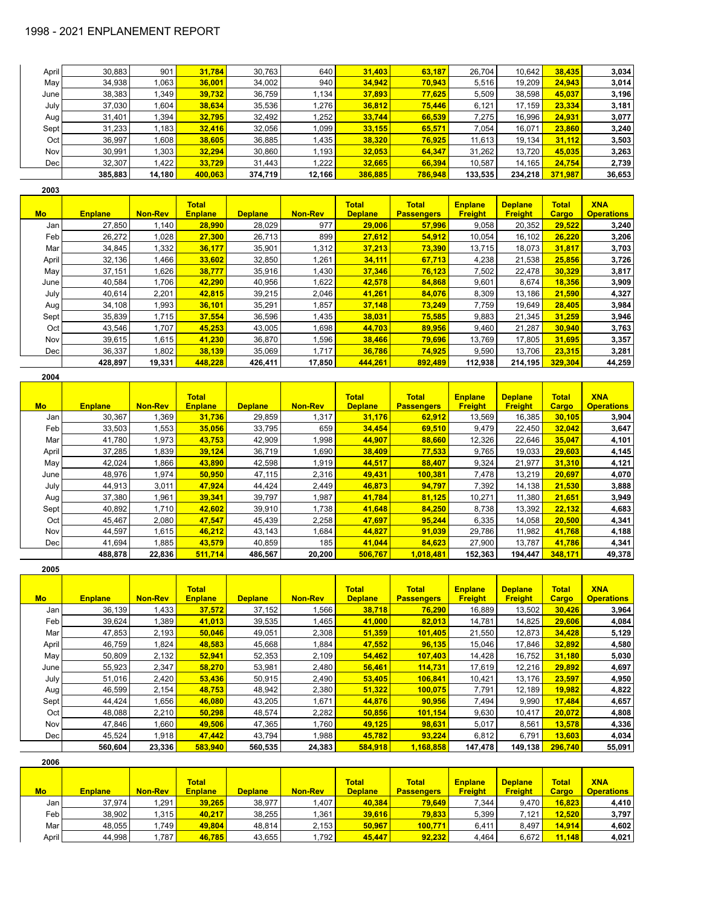| April | 30,883  | 901    | 31,784  | 30,763  | 640    | 31,403  | 63,187  | 26.704  | 10.642  | 38,435  | 3,034  |
|-------|---------|--------|---------|---------|--------|---------|---------|---------|---------|---------|--------|
| May   | 34,938  | .063   | 36,001  | 34,002  | 940    | 34.942  | 70,943  | 5.516   | 19,209  | 24.943  | 3,014  |
| June  | 38,383  | .349   | 39,732  | 36,759  | 1.134  | 37,893  | 77,625  | 5,509   | 38,598  | 45,037  | 3,196  |
| July  | 37,030  | .604   | 38,634  | 35,536  | 1.276  | 36,812  | 75,446  | 6,121   | 17,159  | 23,334  | 3,181  |
| Aug   | 31.401  | .394   | 32,795  | 32,492  | .252   | 33,744  | 66,539  | 7,275   | 16,996  | 24.931  | 3,077  |
| Sept  | 31,233  | .183   | 32,416  | 32,056  | 1,099  | 33,155  | 65,571  | 7.054   | 16.071  | 23,860  | 3,240  |
| Oct   | 36,997  | .608   | 38.605  | 36,885  | 1.435  | 38.320  | 76.925  | 11.613  | 19.134  | 31,112  | 3,503  |
| Nov   | 30,991  | .303   | 32.294  | 30,860  | 1,193  | 32.053  | 64,347  | 31,262  | 13,720  | 45,035  | 3,263  |
| Dec   | 32,307  | .422   | 33.729  | 31.443  | 1,222  | 32.665  | 66,394  | 10.587  | 14,165  | 24,754  | 2,739  |
|       | 385,883 | 14,180 | 400,063 | 374,719 | 12,166 | 386,885 | 786,948 | 133,535 | 234,218 | 371,987 | 36,653 |

| 2003 |  |
|------|--|
|      |  |

| <b>Mo</b> | <b>Enplane</b> | <b>Non-Rev</b> | <b>Total</b><br><b>Enplane</b> | <b>Deplane</b> | <b>Non-Rev</b> | <b>Total</b><br><b>Deplane</b> | <b>Total</b><br><b>Passengers</b> | <b>Enplane</b><br><b>Freight</b> | <b>Deplane</b><br><b>Freight</b> | <b>Total</b><br><b>Cargo</b> | <b>XNA</b><br><b>Operations</b> |
|-----------|----------------|----------------|--------------------------------|----------------|----------------|--------------------------------|-----------------------------------|----------------------------------|----------------------------------|------------------------------|---------------------------------|
| Jan       | 27,850         | 1,140          | 28,990                         | 28,029         | 977            | 29,006                         | 57,996                            | 9,058                            | 20,352                           | 29,522                       | 3,240                           |
| Feb       | 26,272         | 1,028          | 27,300                         | 26,713         | 899            | 27,612                         | 54,912                            | 10,054                           | 16,102                           | 26,220                       | 3,206                           |
| Mar       | 34,845         | 1,332          | 36,177                         | 35,901         | .312           | 37,213                         | 73,390                            | 13.715                           | 18,073                           | 31,817                       | 3,703                           |
| April     | 32,136         | 1,466          | 33,602                         | 32,850         | 1,261          | 34,111                         | 67,713                            | 4,238                            | 21,538                           | 25,856                       | 3,726                           |
| May       | 37,151         | 1,626          | 38,777                         | 35,916         | 1,430          | 37,346                         | 76,123                            | 7.502                            | 22.478                           | 30.329                       | 3,817                           |
| June      | 40,584         | 1,706          | 42,290                         | 40,956         | .622           | 42,578                         | 84,868                            | 9,601                            | 8,674                            | 18,356                       | 3,909                           |
| July      | 40.614         | 2,201          | 42.815                         | 39,215         | 2,046          | 41.261                         | 84.076                            | 8.309                            | 13.186                           | 21.590                       | 4,327                           |
| Aug!      | 34,108         | 1,993          | 36,101                         | 35,291         | ,857           | 37,148                         | 73,249                            | 7,759                            | 19,649                           | 28,405                       | 3,984                           |
| Sept!     | 35,839         | 1.715          | 37.554                         | 36,596         | 1.435          | 38,031                         | 75,585                            | 9,883                            | 21.345                           | 31.259                       | 3,946                           |
| Oct       | 43,546         | 1,707          | 45,253                         | 43,005         | .698           | 44,703                         | 89,956                            | 9,460                            | 21,287                           | 30,940                       | 3,763                           |
| Nov       | 39,615         | 1,615          | 41,230                         | 36,870         | .596           | 38,466                         | 79,696                            | 13,769                           | 17,805                           | 31,695                       | 3,357                           |
| Dec       | 36,337         | 1,802          | 38,139                         | 35,069         | 1,717          | 36,786                         | 74,925                            | 9,590                            | 13.706                           | 23,315                       | 3,281                           |
|           | 428,897        | 19,331         | 448.228                        | 426,411        | 17,850         | 444,261                        | 892,489                           | 112,938                          | 214,195                          | 329.304                      | 44,259                          |

| <b>Mo</b> | <b>Enplane</b> | <b>Non-Rev</b> | <b>Total</b><br><b>Enplane</b> | <b>Deplane</b> | <b>Non-Rev</b> | <b>Total</b><br><b>Deplane</b> | <b>Total</b><br><b>Passengers</b> | <b>Enplane</b><br><b>Freight</b> | <b>Deplane</b><br><b>Freight</b> | <b>Total</b><br><b>Cargo</b> | <b>XNA</b><br><b>Operations</b> |
|-----------|----------------|----------------|--------------------------------|----------------|----------------|--------------------------------|-----------------------------------|----------------------------------|----------------------------------|------------------------------|---------------------------------|
| Jan       | 30,367         | 1,369          | 31,736                         | 29,859         | 1,317          | 31,176                         | 62,912                            | 13,569                           | 16,385                           | 30,105                       | 3,904                           |
| Feb       | 33,503         | 1,553          | 35,056                         | 33,795         | 659            | 34,454                         | 69,510                            | 9,479                            | 22,450                           | 32.042                       | 3,647                           |
| Mar       | 41,780         | 1,973          | 43.753                         | 42,909         | 998. ا         | 44.907                         | 88.660                            | 12,326                           | 22.646                           | 35.047                       | 4,101                           |
| April     | 37,285         | 1,839          | 39,124                         | 36,719         | 1,690          | 38,409                         | 77,533                            | 9,765                            | 19,033                           | 29,603                       | 4,145                           |
| May       | 42,024         | 1,866          | 43,890                         | 42,598         | 1,919          | 44,517                         | 88,407                            | 9,324                            | 21,977                           | 31,310                       | 4,121                           |
| June      | 48,976         | 1,974          | 50,950                         | 47,115         | 2,316          | 49,431                         | 100,381                           | 7,478                            | 13,219                           | 20,697                       | 4,070                           |
| July      | 44,913         | 3,011          | 47,924                         | 44,424         | 2,449          | 46,873                         | 94,797                            | 7,392                            | 14,138                           | 21,530                       | 3,888                           |
| Aug       | 37,380         | 1,961          | 39,341                         | 39,797         | 1,987          | 41,784                         | 81,125                            | 10,271                           | 11,380                           | 21.651                       | 3,949                           |
| Sept      | 40,892         | 1,710          | 42,602                         | 39,910         | 1,738          | 41,648                         | 84,250                            | 8,738                            | 13,392                           | 22,132                       | 4,683                           |
| Oct       | 45,467         | 2,080          | 47,547                         | 45,439         | 2,258          | 47,697                         | 95,244                            | 6,335                            | 14,058                           | 20,500                       | 4,341                           |
| Nov       | 44,597         | 1,615          | 46,212                         | 43,143         | 1,684          | 44,827                         | 91,039                            | 29,786                           | 11,982                           | 41,768                       | 4,188                           |
| Dec       | 41,694         | 1,885          | 43.579                         | 40,859         | 185            | 41,044                         | 84.623                            | 27,900                           | 13,787                           | 41.786                       | 4,341                           |
|           | 488,878        | 22,836         | 511,714                        | 486,567        | 20,200         | 506,767                        | 1,018,481                         | 152,363                          | 194,447                          | 348,171                      | 49,378                          |

| <b>Mo</b>  | <b>Enplane</b> | <b>Non-Rev</b> | <b>Total</b><br><b>Enplane</b> | <b>Deplane</b> | <b>Non-Rev</b> | <b>Total</b><br><b>Deplane</b> | <b>Total</b><br><b>Passengers</b> | <b>Enplane</b><br><b>Freight</b> | <b>Deplane</b><br><b>Freight</b> | <b>Total</b><br>Cargo | <b>XNA</b><br><b>Operations</b> |
|------------|----------------|----------------|--------------------------------|----------------|----------------|--------------------------------|-----------------------------------|----------------------------------|----------------------------------|-----------------------|---------------------------------|
| Jan        | 36,139         | 1,433          | 37,572                         | 37,152         | 1,566          | 38,718                         | 76,290                            | 16,889                           | 13,502                           | 30,426                | 3,964                           |
| Feb        | 39,624         | 1,389          | 41,013                         | 39,535         | 1.465          | 41,000                         | 82.013                            | 14.781                           | 14,825                           | 29,606                | 4,084                           |
| Mar        | 47,853         | 2,193          | 50,046                         | 49,051         | 2,308          | 51,359                         | 101,405                           | 21,550                           | 12,873                           | 34,428                | 5,129                           |
| April      | 46,759         | 1,824          | 48,583                         | 45,668         | 1.884          | 47,552                         | 96.135                            | 15.046                           | 17.846                           | 32.892                | 4,580                           |
| May        | 50,809         | 2,132          | 52,941                         | 52,353         | 2,109          | 54,462                         | 107,403                           | 14.428                           | 16,752                           | 31,180                | 5,030                           |
| June       | 55,923         | 2,347          | 58,270                         | 53,981         | 2,480          | 56,461                         | 114,731                           | 17,619                           | 12,216                           | 29,892                | 4,697                           |
| July I     | 51,016         | 2,420          | 53,436                         | 50,915         | 2,490          | 53,405                         | 106.841                           | 10,421                           | 13,176                           | 23,597                | 4,950                           |
| Aug        | 46,599         | 2,154          | 48,753                         | 48,942         | 2,380          | 51,322                         | 100,075                           | 7,791                            | 12,189                           | 19,982                | 4,822                           |
| Sept       | 44,424         | 1,656          | 46,080                         | 43,205         | 1,671          | 44,876                         | 90,956                            | 7,494                            | 9,990                            | 17,484                | 4,657                           |
| Oct        | 48,088         | 2,210          | 50,298                         | 48,574         | 2,282          | 50,856                         | 101,154                           | 9,630                            | 10,417                           | 20,072                | 4,808                           |
| <b>Nov</b> | 47,846         | 1,660          | 49,506                         | 47,365         | 1,760          | 49,125                         | 98,631                            | 5,017                            | 8,561                            | 13,578                | 4,336                           |
| Dec        | 45,524         | 1,918          | 47.442                         | 43,794         | 1.988          | 45.782                         | 93.224                            | 6.812                            | 6.791                            | 13,603                | 4,034                           |
|            | 560,604        | 23,336         | 583,940                        | 560,535        | 24,383         | 584.918                        | 1,168,858                         | 147,478                          | 149,138                          | 296.740               | 55,091                          |

| 2006             |                |                |                                |                |                |                                |                                   |                                  |                                  |                              |                                 |
|------------------|----------------|----------------|--------------------------------|----------------|----------------|--------------------------------|-----------------------------------|----------------------------------|----------------------------------|------------------------------|---------------------------------|
| <b>Mo</b>        | <b>Enplane</b> | <b>Non-Rev</b> | <b>Total</b><br><b>Enplane</b> | <b>Deplane</b> | <b>Non-Rev</b> | <b>Total</b><br><b>Deplane</b> | <b>Total</b><br><b>Passengers</b> | <b>Enplane</b><br><b>Freight</b> | <b>Deplane</b><br><b>Freight</b> | <b>Total</b><br><b>Cargo</b> | <b>XNA</b><br><b>Operations</b> |
| Jan I            | 37.974         | .291           | 39,265                         | 38,977         | 1,407          | 40,384                         | 79,649                            | 7,344                            | 9,470                            | 16,823                       | 4,410                           |
| Feb <sup>1</sup> | 38,902         | .315           | 40,217                         | 38,255         | 1,361          | 39,616                         | 79,833                            | 5,399                            | 7,121                            | 12,520                       | 3,797                           |
| Mar I            | 48,055         | ,749           | 49,804                         | 48,814         | 2,153          | 50,967                         | 100,771                           | 6,411                            | 8.497                            | 14,914                       | 4,602                           |
| April            | 44,998         | .787           | 46,785                         | 43,655         | 1,792          | 45,447                         | 92,232                            | 4,464                            | 6,672                            | 11,148                       | 4,021                           |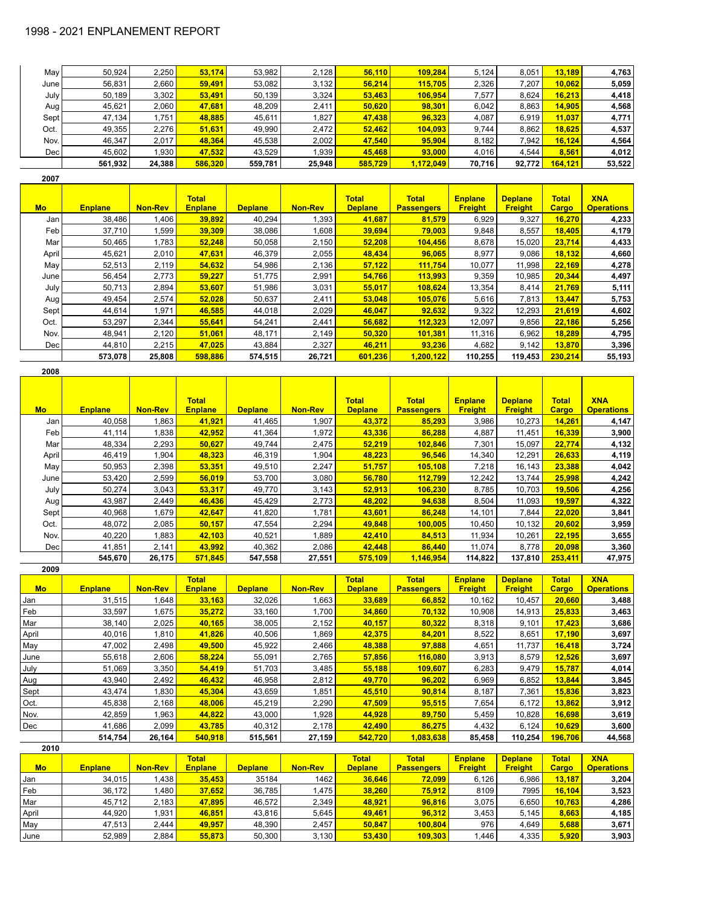| May  | 50.924  | 2.250  | 53.174  | 53.982  | 2.128  | 56.110  | 109,284   | 5.124  | 8.051  | 13.189  | 4,763  |
|------|---------|--------|---------|---------|--------|---------|-----------|--------|--------|---------|--------|
| June | 56.831  | 2.660  | 59,491  | 53.082  | 3.132  | 56.214  | 115.705   | 2,326  | 7.207  | 10,062  | 5,059  |
| July | 50.189  | 3,302  | 53.491  | 50,139  | 3,324  | 53,463  | 106,954   | 7.577  | 8.624  | 16,213  | 4,418  |
| Aug  | 45.621  | 2.060  | 47.681  | 48,209  | 2,411  | 50,620  | 98.301    | 6.042  | 8.863  | 14.905  | 4,568  |
| Sept | 47.134  | .751   | 48.885  | 45.611  | .827   | 47,438  | 96.323    | 4.087  | 6.919  | 11.037  | 4,771  |
| Oct. | 49.355  | 2.276  | 51.631  | 49,990  | 2.472  | 52,462  | 104,093   | 9.744  | 8.862  | 18.625  | 4,537  |
| Nov. | 46.347  | 2.017  | 48.364  | 45,538  | 2,002  | 47.540  | 95,904    | 8.182  | 7.942  | 16,124  | 4,564  |
| Dec  | 45.602  | .930   | 47.532  | 43.529  | .939   | 45,468  | 93,000    | 4.016  | 4.544  | 8.561   | 4.012  |
|      | 561.932 | 24,388 | 586,320 | 559,781 | 25.948 | 585.729 | 1,172,049 | 70.716 | 92,772 | 164,121 | 53,522 |

| 2007      |                |                |                                |                |                |                                |                                   |                                  |                                  |                       |                                 |
|-----------|----------------|----------------|--------------------------------|----------------|----------------|--------------------------------|-----------------------------------|----------------------------------|----------------------------------|-----------------------|---------------------------------|
| <b>Mo</b> | <b>Enplane</b> | <b>Non-Rev</b> | <b>Total</b><br><b>Enplane</b> | <b>Deplane</b> | <b>Non-Rev</b> | <b>Total</b><br><b>Deplane</b> | <b>Total</b><br><b>Passengers</b> | <b>Enplane</b><br><b>Freight</b> | <b>Deplane</b><br><b>Freight</b> | <b>Total</b><br>Cargo | <b>XNA</b><br><b>Operations</b> |
| Jan       | 38,486         | 1,406          | 39,892                         | 40,294         | 1,393          | 41,687                         | 81,579                            | 6,929                            | 9,327                            | 16,270                | 4,233                           |
| Feb       | 37,710         | 1,599          | 39,309                         | 38,086         | 1,608          | 39,694                         | 79,003                            | 9,848                            | 8,557                            | 18,405                | 4,179                           |
| Mar       | 50,465         | 1,783          | 52,248                         | 50,058         | 2,150          | 52,208                         | 104,456                           | 8,678                            | 15,020                           | 23,714                | 4,433                           |
| April     | 45,621         | 2,010          | 47,631                         | 46,379         | 2,055          | 48,434                         | 96.065                            | 8,977                            | 9,086                            | 18,132                | 4,660                           |
| May       | 52,513         | 2,119          | 54,632                         | 54,986         | 2,136          | 57,122                         | 111,754                           | 10,077                           | 11,998                           | 22,169                | 4,278                           |
| June      | 56,454         | 2,773          | 59,227                         | 51,775         | 2,991          | 54,766                         | 113,993                           | 9,359                            | 10,985                           | 20,344                | 4,497                           |
| July      | 50,713         | 2,894          | 53,607                         | 51,986         | 3,031          | 55,017                         | 108.624                           | 13,354                           | 8,414                            | 21,769                | 5,111                           |
| Aug       | 49,454         | 2,574          | 52,028                         | 50,637         | 2,411          | 53.048                         | 105.076                           | 5,616                            | 7,813                            | 13,447                | 5,753                           |
| Sept      | 44,614         | 1,971          | 46,585                         | 44,018         | 2,029          | 46,047                         | 92,632                            | 9,322                            | 12,293                           | 21,619                | 4,602                           |
| Oct.      | 53,297         | 2,344          | 55,641                         | 54,241         | 2,441          | 56,682                         | 112,323                           | 12,097                           | 9,856                            | 22,186                | 5,256                           |
| Nov.      | 48,941         | 2,120          | 51,061                         | 48,171         | 2,149          | 50,320                         | 101,381                           | 11,316                           | 6,962                            | 18,289                | 4,795                           |
| Dec       | 44,810         | 2,215          | 47,025                         | 43,884         | 2,327          | 46,211                         | 93.236                            | 4,682                            | 9,142                            | 13,870                | 3,396                           |
|           | 573,078        | 25,808         | 598.886                        | 574,515        | 26,721         | 601.236                        | 1.200.122                         | 110,255                          | 119,453                          | 230.214               | 55,193                          |

| Mo     | <b>Enplane</b> | <b>Non-Rev</b> | <b>Total</b><br><b>Enplane</b> | <b>Deplane</b> | <b>Non-Rev</b> | <b>Total</b><br><b>Deplane</b> | <b>Total</b><br><b>Passengers</b> | <b>Enplane</b><br><b>Freight</b> | <b>Deplane</b><br><b>Freight</b> | <b>Total</b><br>Cargo | <b>XNA</b><br><b>Operations</b> |
|--------|----------------|----------------|--------------------------------|----------------|----------------|--------------------------------|-----------------------------------|----------------------------------|----------------------------------|-----------------------|---------------------------------|
| Jan    | 40,058         | .863           | 41,921                         | 41,465         | 1,907          | 43,372                         | 85,293                            | 3,986                            | 10,273                           | 14,261                | 4,147                           |
| Feb    | 41,114         | 1,838          | 42,952                         | 41,364         | 1,972          | 43,336                         | 86,288                            | 4,887                            | 11,451                           | 16,339                | 3,900                           |
| Mar    | 48,334         | 2,293          | 50,627                         | 49,744         | 2,475          | 52,219                         | 102,846                           | 7,301                            | 15,097                           | 22,774                | 4,132                           |
| April  | 46,419         | 1,904          | 48,323                         | 46,319         | 1,904          | 48,223                         | 96,546                            | 14,340                           | 12,291                           | 26,633                | 4,119                           |
| May    | 50,953         | 2,398          | 53,351                         | 49,510         | 2,247          | 51,757                         | 105.108                           | 7,218                            | 16, 143                          | 23,388                | 4,042                           |
| June   | 53,420         | 2,599          | 56,019                         | 53,700         | 3,080          | 56,780                         | 112,799                           | 12,242                           | 13,744                           | 25,998                | 4,242                           |
| July I | 50,274         | 3,043          | 53,317                         | 49,770         | 3,143          | 52,913                         | 106.230                           | 8,785                            | 10,703                           | 19,506                | 4,256                           |
| Aug    | 43,987         | 2,449          | 46,436                         | 45,429         | 2,773          | 48,202                         | 94,638                            | 8,504                            | 11,093                           | 19,597                | 4,322                           |
| Sept   | 40,968         | 1.679          | 42,647                         | 41,820         | 1,781          | 43,601                         | 86.248                            | 14,101                           | 7,844                            | 22,020                | 3,841                           |
| Oct.   | 48,072         | 2,085          | 50,157                         | 47,554         | 2,294          | 49,848                         | 100.005                           | 10,450                           | 10,132                           | 20,602                | 3,959                           |
| Nov.   | 40,220         | 1,883          | 42,103                         | 40,521         | 1,889          | 42,410                         | 84,513                            | 11,934                           | 10,261                           | 22,195                | 3,655                           |
| Dec    | 41,851         | 2,141          | 43.992                         | 40,362         | 2,086          | 42.448                         | 86,440                            | 11,074                           | 8,778                            | 20,098                | 3,360                           |
|        | 545,670        | 26,175         | 571,845                        | 547,558        | 27,551         | 575,109                        | 1,146,954                         | 114,822                          | 137,810                          | 253,411               | 47,975                          |

| 2009      |                |                |                |                |                |                |                   |                |                |              |                   |
|-----------|----------------|----------------|----------------|----------------|----------------|----------------|-------------------|----------------|----------------|--------------|-------------------|
|           |                |                | <b>Total</b>   |                |                | <b>Total</b>   | <b>Total</b>      | <b>Enplane</b> | <b>Deplane</b> | <b>Total</b> | <b>XNA</b>        |
| <b>Mo</b> | <b>Enplane</b> | <b>Non-Rev</b> | <b>Enplane</b> | <b>Deplane</b> | <b>Non-Rev</b> | <b>Deplane</b> | <b>Passengers</b> | <b>Freight</b> | <b>Freight</b> | Cargo        | <b>Operations</b> |
| Jan       | 31,515         | 1,648          | 33,163         | 32,026         | 1,663          | 33,689         | 66,852            | 10,162         | 10,457         | 20,660       | 3,488             |
| Feb       | 33,597         | 1,675          | 35,272         | 33,160         | 1,700          | 34,860         | 70,132            | 10,908         | 14,913         | 25,833       | 3,463             |
| Mar       | 38,140         | 2,025          | 40,165         | 38,005         | 2,152          | 40,157         | 80,322            | 8,318          | 9,101          | 17,423       | 3,686             |
| April     | 40,016         | 1,810          | 41,826         | 40,506         | 1,869          | 42,375         | 84,201            | 8,522          | 8,651          | 17,190       | 3,697             |
| May       | 47,002         | 2,498          | 49,500         | 45,922         | 2,466          | 48,388         | 97,888            | 4,651          | 11,737         | 16,418       | 3,724             |
| June      | 55,618         | 2,606          | 58,224         | 55,091         | 2,765          | 57,856         | 116,080           | 3,913          | 8,579          | 12,526       | 3,697             |
| July      | 51,069         | 3,350          | 54,419         | 51,703         | 3,485          | 55,188         | 109.607           | 6,283          | 9,479          | 15,787       | 4,014             |
| Aug       | 43,940         | 2,492          | 46,432         | 46,958         | 2,812          | 49,770         | 96,202            | 6,969          | 6,852          | 13,844       | 3,845             |
| Sept      | 43,474         | 1,830          | 45,304         | 43,659         | 1,851          | 45,510         | 90,814            | 8,187          | 7,361          | 15,836       | 3,823             |
| Oct.      | 45,838         | 2,168          | 48,006         | 45,219         | 2,290          | 47,509         | 95,515            | 7,654          | 6,172          | 13,862       | 3,912             |
| Nov.      | 42,859         | 1,963          | 44,822         | 43,000         | 1,928          | 44,928         | 89,750            | 5,459          | 10,828         | 16,698       | 3,619             |
| Dec       | 41,686         | 2,099          | 43,785         | 40,312         | 2,178          | 42,490         | 86,275            | 4,432          | 6,124          | 10,629       | 3,600             |
|           | 514,754        | 26,164         | 540,918        | 515,561        | 27,159         | 542,720        | 1,083,638         | 85,458         | 110,254        | 196,706      | 44,568            |

| 2010  |                |                |                |                |                |                |                   |                |                |              |                   |
|-------|----------------|----------------|----------------|----------------|----------------|----------------|-------------------|----------------|----------------|--------------|-------------------|
|       |                |                | <b>Total</b>   |                |                | <b>Total</b>   | <b>Total</b>      | <b>Enplane</b> | <b>Deplane</b> | <b>Total</b> | <b>XNA</b>        |
| Mo    | <b>Enplane</b> | <b>Non-Rev</b> | <b>Enplane</b> | <b>Deplane</b> | <b>Non-Rev</b> | <b>Deplane</b> | <b>Passengers</b> | <b>Freight</b> | <b>Freight</b> | <b>Cargo</b> | <b>Operations</b> |
| Jan   | 34,015         | .438           | 35,453         | 35184          | 1462           | 36,646         | 72,099            | 6,126          | 6,986          | 13,187       | 3,204             |
| Feb   | 36,172         | ,480           | 37,652         | 36,785         | 1,475          | 38,260         | 75,912            | 8109           | 7995           | 16,104       | 3,523             |
| Mar   | 45,712         | 2,183          | 47,895         | 46,572         | 2,349          | 48,921         | 96,816            | 3,075          | 6,650          | 10,763       | 4,286             |
| April | 44,920         | .931           | 46,851         | 43,816         | 5,645          | 49,461         | 96,312            | 3,453          | 5,145          | 8,663        | 4,185             |
| May   | 47,513         | 2.444          | 49,957         | 48,390         | 2,457          | 50,847         | 100.804           | 976            | 4.649          | 5,688        | 3,671             |
| June  | 52,989         | 2,884          | 55,873         | 50,300         | 3,130          | 53,430         | 109,303           | 1.446          | 4,335          | 5,920        | 3,903             |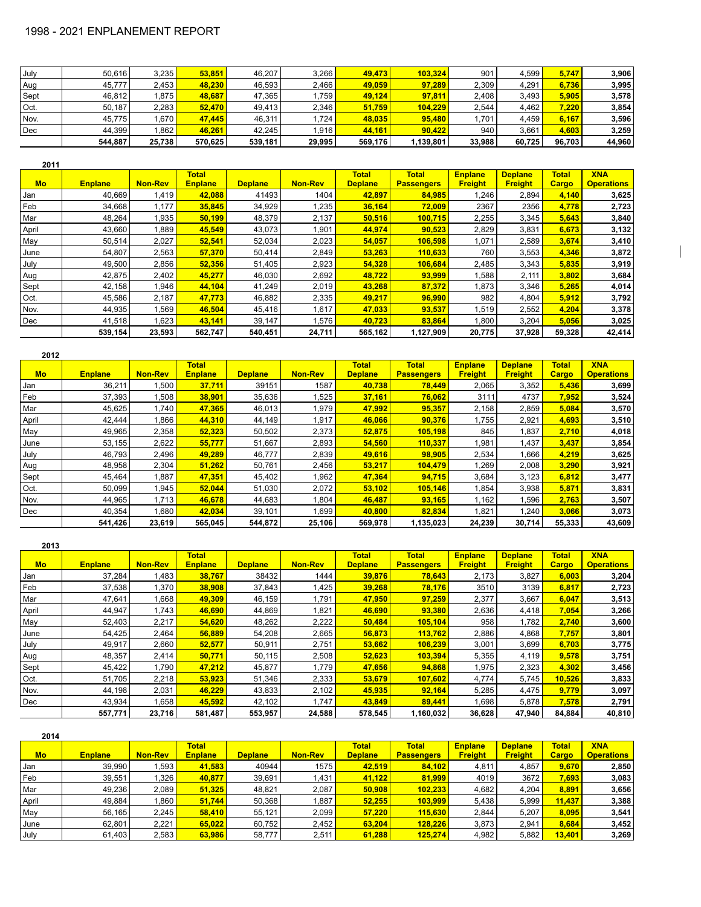| July | 50.616  | 3.235             | 53.851  | 46.207  | 3.266  | 49.473  | 103.324   | 901    | 4.599  | 5,747  | 3,906  |
|------|---------|-------------------|---------|---------|--------|---------|-----------|--------|--------|--------|--------|
| Aug  | 45.777  | 2.453             | 48.230  | 46.593  | 2.466  | 49.059  | 97.289    | 2.309  | 4.291  | 6,736  | 3,995  |
| Sept | 46.812  | .875              | 48,687  | 47.365  | .759   | 49.124  | 97,811    | 2.408  | 3.493  | 5.905  | 3,578  |
| Oct. | 50.187  | 2.283             | 52,470  | 49.413  | 2,346  | 51,759  | 104.229   | 2,544  | 4.462  | 7,220  | 3,854  |
| Nov. | 45.775  | .670 <sub>1</sub> | 47,445  | 46.311  | .724   | 48.035  | 95.480    | 1.701  | 4.459  | 6,167  | 3,596  |
| Dec  | 44.399  | .862              | 46,261  | 42.245  | 1,916  | 44,161  | 90.422    | 940    | 3.661  | 4.603  | 3,259  |
|      | 544.887 | 25,738            | 570.625 | 539,181 | 29.995 | 569,176 | 1.139.801 | 33.988 | 60.725 | 96,703 | 44,960 |

| 2011      |                |                |                                |                |                |                                |                                   |                                  |                                  |                       |                                 |
|-----------|----------------|----------------|--------------------------------|----------------|----------------|--------------------------------|-----------------------------------|----------------------------------|----------------------------------|-----------------------|---------------------------------|
| <b>Mo</b> | <b>Enplane</b> | <b>Non-Rev</b> | <b>Total</b><br><b>Enplane</b> | <b>Deplane</b> | <b>Non-Rev</b> | <b>Total</b><br><b>Deplane</b> | <b>Total</b><br><b>Passengers</b> | <b>Enplane</b><br><b>Freight</b> | <b>Deplane</b><br><b>Freight</b> | <b>Total</b><br>Cargo | <b>XNA</b><br><b>Operations</b> |
| Jan       | 40,669         | 1,419          | 42,088                         | 41493          | 1404           | 42,897                         | 84,985                            | .246                             | 2,894                            | 4,140                 | 3,625                           |
| Feb       | 34,668         | 1.177          | 35,845                         | 34,929         | 1,235          | 36,164                         | 72.009                            | 2367                             | 2356                             | 4,778                 | 2,723                           |
| Mar       | 48,264         | 1,935          | 50,199                         | 48,379         | 2,137          | 50,516                         | 100,715                           | 2,255                            | 3,345                            | 5,643                 | 3,840                           |
| April     | 43,660         | 1,889          | 45,549                         | 43,073         | 1,901          | 44,974                         | 90,523                            | 2,829                            | 3,831                            | 6,673                 | 3,132                           |
| May       | 50,514         | 2,027          | 52,541                         | 52,034         | 2,023          | 54,057                         | 106,598                           | 1.071                            | 2,589                            | 3,674                 | 3,410                           |
| June      | 54,807         | 2,563          | 57,370                         | 50,414         | 2,849          | 53,263                         | 110,633                           | 760                              | 3,553                            | 4,346                 | 3,872                           |
| July      | 49,500         | 2,856          | 52,356                         | 51,405         | 2,923          | 54,328                         | 106,684                           | 2,485                            | 3,343                            | 5,835                 | 3,919                           |
| Aug       | 42,875         | 2,402          | 45,277                         | 46,030         | 2,692          | 48,722                         | 93,999                            | .588                             | 2,111                            | 3,802                 | 3,684                           |
| Sept      | 42,158         | 1,946          | 44,104                         | 41,249         | 2,019          | 43,268                         | 87,372                            | 1,873                            | 3,346                            | 5,265                 | 4,014                           |
| Oct.      | 45,586         | 2,187          | 47,773                         | 46,882         | 2,335          | 49,217                         | 96,990                            | 982                              | 4,804                            | 5,912                 | 3,792                           |
| Nov.      | 44,935         | 1,569          | 46,504                         | 45,416         | 1,617          | 47,033                         | 93,537                            | .519                             | 2,552                            | 4,204                 | 3,378                           |
| Dec       | 41,518         | 1,623          | 43,141                         | 39,147         | 1,576          | 40,723                         | 83,864                            | .800                             | 3,204                            | 5,056                 | 3,025                           |
|           | 539,154        | 23,593         | 562,747                        | 540,451        | 24,711         | 565,162                        | 1,127,909                         | 20,775                           | 37,928                           | 59,328                | 42,414                          |

 $\overline{\phantom{a}}$ 

| 2012      |                |                |                                |                |                |                                |                                   |                                  |                                  |                       |                                 |
|-----------|----------------|----------------|--------------------------------|----------------|----------------|--------------------------------|-----------------------------------|----------------------------------|----------------------------------|-----------------------|---------------------------------|
| <b>Mo</b> | <b>Enplane</b> | <b>Non-Rev</b> | <b>Total</b><br><b>Enplane</b> | <b>Deplane</b> | <b>Non-Rev</b> | <b>Total</b><br><b>Deplane</b> | <b>Total</b><br><b>Passengers</b> | <b>Enplane</b><br><b>Freight</b> | <b>Deplane</b><br><b>Freight</b> | <b>Total</b><br>Cargo | <b>XNA</b><br><b>Operations</b> |
| Jan       | 36,211         | .500           | 37,711                         | 39151          | 1587           | 40,738                         | 78.449                            | 2,065                            | 3,352                            | 5,436                 | 3,699                           |
| Feb       | 37,393         | .508           | 38,901                         | 35,636         | 1,525          | 37,161                         | 76,062                            | 3111                             | 4737                             | 7,952                 | 3,524                           |
| Mar       | 45,625         | .740           | 47,365                         | 46,013         | 1,979          | 47,992                         | 95,357                            | 2,158                            | 2,859                            | 5,084                 | 3,570                           |
| April     | 42,444         | .866           | 44.310                         | 44,149         | 1,917          | 46,066                         | 90,376                            | 1,755                            | 2,921                            | 4,693                 | 3,510                           |
| May       | 49,965         | 2,358          | 52,323                         | 50,502         | 2,373          | 52,875                         | 105,198                           | 845                              | 1,837                            | 2,710                 | 4,018                           |
| June      | 53,155         | 2,622          | 55,777                         | 51,667         | 2,893          | 54,560                         | 110,337                           | 1,981                            | 1,437                            | 3,437                 | 3,854                           |
| July      | 46,793         | 2,496          | 49,289                         | 46,777         | 2,839          | 49,616                         | 98.905                            | 2,534                            | 1,666                            | 4,219                 | 3,625                           |
| Aug       | 48,958         | 2,304          | 51,262                         | 50,761         | 2,456          | 53,217                         | 104.479                           | 1,269                            | 2,008                            | 3,290                 | 3,921                           |
| Sept      | 45,464         | ,887           | 47,351                         | 45,402         | 1,962          | 47,364                         | 94,715                            | 3,684                            | 3,123                            | 6,812                 | 3,477                           |
| Oct.      | 50,099         | .945           | 52,044                         | 51,030         | 2,072          | 53,102                         | 105,146                           | 1,854                            | 3,938                            | 5,871                 | 3,831                           |
| Nov.      | 44,965         | 1.713          | 46,678                         | 44,683         | 1,804          | 46,487                         | 93.165                            | 1,162                            | 596. ا                           | 2,763                 | 3,507                           |
| Dec       | 40,354         | .680           | 42,034                         | 39,101         | 1,699          | 40,800                         | 82,834                            | 1,821                            | 1,240                            | 3,066                 | 3,073                           |
|           | 541,426        | 23,619         | 565,045                        | 544,872        | 25,106         | 569,978                        | 1,135,023                         | 24,239                           | 30,714                           | 55,333                | 43,609                          |

**2013**

| ----      |                |                |                |                |                |                |                   |                |                |              |                   |
|-----------|----------------|----------------|----------------|----------------|----------------|----------------|-------------------|----------------|----------------|--------------|-------------------|
|           |                |                | <b>Total</b>   |                |                | <b>Total</b>   | <b>Total</b>      | <b>Enplane</b> | <b>Deplane</b> | <b>Total</b> | <b>XNA</b>        |
| <b>Mo</b> | <b>Enplane</b> | <b>Non-Rev</b> | <b>Enplane</b> | <b>Deplane</b> | <b>Non-Rev</b> | <b>Deplane</b> | <b>Passengers</b> | <b>Freight</b> | <b>Freight</b> | <b>Cargo</b> | <b>Operations</b> |
| Jan       | 37,284         | 1,483          | 38,767         | 38432          | 1444           | 39,876         | 78,643            | 2,173          | 3,827          | 6,003        | 3,204             |
| Feb       | 37,538         | 1,370          | 38,908         | 37,843         | 1,425          | 39,268         | 78,176            | 3510           | 3139           | 6,817        | 2,723             |
| Mar       | 47,641         | .668           | 49.309         | 46,159         | 1.791          | 47,950         | 97.259            | 2,377          | 3.667          | 6,047        | 3,513             |
| April     | 44,947         | 1,743          | 46,690         | 44,869         | 1,821          | 46,690         | 93,380            | 2,636          | 4,418          | 7,054        | 3,266             |
| May       | 52,403         | 2,217          | 54,620         | 48,262         | 2,222          | 50,484         | 105,104           | 958            | .782           | 2,740        | 3,600             |
| June      | 54,425         | 2,464          | 56,889         | 54,208         | 2,665          | 56,873         | 113,762           | 2,886          | 4,868          | 7,757        | 3,801             |
| July      | 49,917         | 2,660          | 52,577         | 50,911         | 2,751          | 53,662         | 106,239           | 3,001          | 3,699          | 6,703        | 3,775             |
| Aug       | 48,357         | 2,414          | 50,771         | 50,115         | 2,508          | 52,623         | 103,394           | 5,355          | 4,119          | 9,578        | 3,751             |
| Sept      | 45,422         | 1.790          | 47,212         | 45,877         | 1,779          | 47,656         | 94,868            | 1,975          | 2,323          | 4,302        | 3,456             |
| Oct.      | 51,705         | 2,218          | 53,923         | 51,346         | 2,333          | 53,679         | 107,602           | 4,774          | 5,745          | 10,526       | 3,833             |
| Nov.      | 44,198         | 2,031          | 46,229         | 43,833         | 2,102          | 45,935         | 92.164            | 5,285          | 4.475          | 9,779        | 3,097             |
| Dec       | 43,934         | .658           | 45,592         | 42,102         | 1,747          | 43,849         | 89,441            | 1,698          | 5,878          | 7,578        | 2,791             |
|           | 557,771        | 23,716         | 581.487        | 553,957        | 24.588         | 578,545        | 1,160,032         | 36,628         | 47,940         | 84,884       | 40,810            |

| Mo    | <b>Enplane</b> | <b>Non-Rev</b>     | <b>Total</b><br><b>Enplane</b> | <b>Deplane</b> | <b>Non-Rev</b> | <b>Total</b><br><b>Deplane</b> | <b>Total</b><br><b>Passengers</b> | <b>Enplane</b><br><b>Freight</b> | <b>Deplane</b><br><b>Freight</b> | <b>Total</b><br><b>Cargo</b> | <b>XNA</b><br><b>Operations</b> |
|-------|----------------|--------------------|--------------------------------|----------------|----------------|--------------------------------|-----------------------------------|----------------------------------|----------------------------------|------------------------------|---------------------------------|
| Jan   | 39,990         | $.593$ $^{\prime}$ | 41,583                         | 40944          | 1575           | 42,519                         | 84,102                            | 4,811                            | 4,857                            | 9,670                        | 2,850                           |
| Feb   | 39,551         | 1,326              | 40,877                         | 39,691         | 1,431          | 41,122                         | 81,999                            | 4019                             | 3672                             | 7,693                        | 3,083                           |
| Mar   | 49.236         | 2,089              | 51,325                         | 48.821         | 2,087          | 50,908                         | 102,233                           | 4.682                            | 4.204                            | 8,891                        | 3,656                           |
| April | 49,884         | .860               | 51,744                         | 50,368         | 1,887          | 52,255                         | 103,999                           | 5,438                            | 5,999                            | 11.437                       | 3,388                           |
| May   | 56,165         | 2,245              | 58,410                         | 55,121         | 2,099          | 57,220                         | 115,630                           | 2,844                            | 5,207                            | 8,095                        | 3,541                           |
| June  | 62,801         | 2,221              | 65,022                         | 60,752         | 2,452          | 63,204                         | 128.226                           | 3,873                            | 2,941                            | 8,684                        | 3,452                           |
| July  | 61,403         | 2,583              | 63,986                         | 58,777         | 2,511          | 61,288                         | 125.274                           | 4,982                            | 5,882                            | 13.401                       | 3,269                           |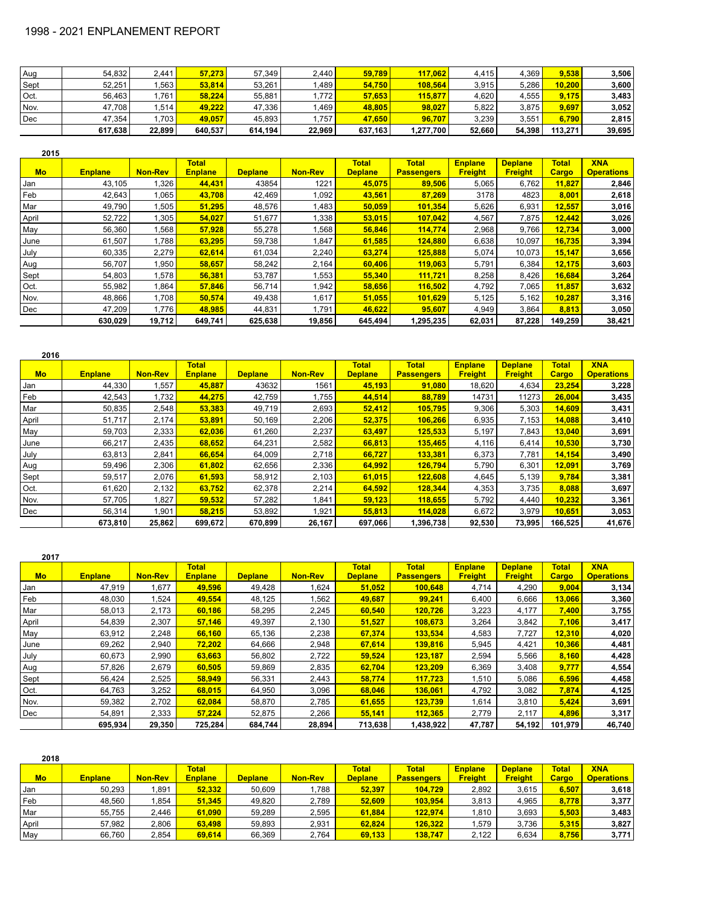| Aug  | 54,832  | 2.441  | 57,273  | 57,349  | 2.440  | 59,789  | 117.062   | 4.415  | 4.369  | 9.538   | 3,506  |
|------|---------|--------|---------|---------|--------|---------|-----------|--------|--------|---------|--------|
| Sept | 52.251  | .563   | 53.814  | 53.261  | ا 489. | 54,750  | 108.564   | 3.915  | 5.286  | 10.200  | 3,600  |
| Oct. | 56,463  | .761   | 58.224  | 55.881  | 772    | 57,653  | 115,877   | 4.620  | 4,555  | 9,175   | 3,483  |
| Nov. | 47,708  | .514   | 49.222  | 47,336  | .469   | 48,805  | 98,027    | 5.822  | 3,875  | 9.697   | 3,052  |
| Dec  | 47.354  | .703   | 49,057  | 45,893  | .757   | 47.650  | 96.707    | 3.239  | 3.551  | 6.790   | 2,815  |
|      | 617,638 | 22,899 | 640,537 | 614,194 | 22,969 | 637,163 | 1,277,700 | 52.660 | 54,398 | 113.271 | 39,695 |

| 2015      |                |                |                                |                |                |                                |                                   |                                  |                                  |                              |                                 |
|-----------|----------------|----------------|--------------------------------|----------------|----------------|--------------------------------|-----------------------------------|----------------------------------|----------------------------------|------------------------------|---------------------------------|
| <b>Mo</b> | <b>Enplane</b> | <b>Non-Rev</b> | <b>Total</b><br><b>Enplane</b> | <b>Deplane</b> | <b>Non-Rev</b> | <b>Total</b><br><b>Deplane</b> | <b>Total</b><br><b>Passengers</b> | <b>Enplane</b><br><b>Freight</b> | <b>Deplane</b><br><b>Freight</b> | <b>Total</b><br><b>Cargo</b> | <b>XNA</b><br><b>Operations</b> |
| Jan       | 43,105         | .326           | 44,431                         | 43854          | 1221           | 45,075                         | 89.506                            | 5,065                            | 6,762                            | 11,827                       | 2,846                           |
| Feb       | 42,643         | 1,065          | 43,708                         | 42,469         | 1,092          | 43,561                         | 87,269                            | 3178                             | 4823                             | 8,001                        | 2,618                           |
| Mar       | 49,790         | ,505           | 51,295                         | 48,576         | 1,483          | 50,059                         | 101,354                           | 5,626                            | 6,931                            | 12,557                       | 3,016                           |
| April     | 52,722         | ,305           | 54,027                         | 51,677         | 1,338          | 53,015                         | 107,042                           | 4,567                            | 7,875                            | 12,442                       | 3,026                           |
| May       | 56,360         | .568           | 57,928                         | 55,278         | 1,568          | 56,846                         | 114,774                           | 2,968                            | 9,766                            | 12,734                       | 3,000                           |
| June      | 61,507         | .788           | 63,295                         | 59,738         | 1,847          | 61,585                         | 124.880                           | 6,638                            | 10,097                           | 16,735                       | 3,394                           |
| July      | 60,335         | 2,279          | 62,614                         | 61,034         | 2,240          | 63,274                         | 125,888                           | 5,074                            | 10,073                           | 15,147                       | 3,656                           |
| Aug       | 56,707         | .950           | 58,657                         | 58,242         | 2,164          | 60,406                         | 119,063                           | 5,791                            | 6,384                            | 12,175                       | 3,603                           |
| Sept      | 54,803         | .578           | 56,381                         | 53,787         | 1,553          | 55,340                         | 111.721                           | 8,258                            | 8,426                            | 16,684                       | 3,264                           |
| Oct.      | 55,982         | .864           | 57,846                         | 56,714         | 1,942          | 58,656                         | 116,502                           | 4,792                            | 7,065                            | 11,857                       | 3,632                           |
| Nov.      | 48,866         | 1.708          | 50,574                         | 49,438         | 1,617          | 51,055                         | 101,629                           | 5,125                            | 5,162                            | 10,287                       | 3,316                           |
| Dec       | 47,209         | .776           | 48.985                         | 44,831         | 1.791          | 46,622                         | 95.607                            | 4,949                            | 3,864                            | 8,813                        | 3,050                           |
|           | 630,029        | 19,712         | 649,741                        | 625,638        | 19,856         | 645,494                        | 1,295,235                         | 62,031                           | 87,228                           | 149,259                      | 38,421                          |

| 2016      |                |                |                                |                |                |                                |                                   |                                  |                                  |                              |                                 |
|-----------|----------------|----------------|--------------------------------|----------------|----------------|--------------------------------|-----------------------------------|----------------------------------|----------------------------------|------------------------------|---------------------------------|
| <b>Mo</b> | <b>Enplane</b> | <b>Non-Rev</b> | <b>Total</b><br><b>Enplane</b> | <b>Deplane</b> | <b>Non-Rev</b> | <b>Total</b><br><b>Deplane</b> | <b>Total</b><br><b>Passengers</b> | <b>Enplane</b><br><b>Freight</b> | <b>Deplane</b><br><b>Freight</b> | <b>Total</b><br><b>Cargo</b> | <b>XNA</b><br><b>Operations</b> |
| Jan       | 44,330         | 1,557          | 45,887                         | 43632          | 1561           | 45,193                         | 91,080                            | 18,620                           | 4,634                            | 23,254                       | 3,228                           |
| Feb       | 42,543         | 1,732          | 44,275                         | 42,759         | 1,755          | 44,514                         | 88,789                            | 14731                            | 11273                            | 26,004                       | 3,435                           |
| Mar       | 50,835         | 2,548          | 53,383                         | 49,719         | 2,693          | 52,412                         | 105.795                           | 9,306                            | 5,303                            | 14,609                       | 3,431                           |
| April     | 51,717         | 2,174          | 53,891                         | 50,169         | 2,206          | 52,375                         | 106,266                           | 6,935                            | 7,153                            | 14,088                       | 3,410                           |
| May       | 59,703         | 2,333          | 62,036                         | 61,260         | 2,237          | 63,497                         | 125,533                           | 5,197                            | 7,843                            | 13,040                       | 3,691                           |
| June      | 66,217         | 2,435          | 68,652                         | 64,231         | 2,582          | 66,813                         | 135,465                           | 4,116                            | 6,414                            | 10,530                       | 3,730                           |
| July      | 63,813         | 2,841          | 66,654                         | 64,009         | 2,718          | 66,727                         | 133,381                           | 6,373                            | 7,781                            | 14,154                       | 3,490                           |
| Aug       | 59,496         | 2,306          | 61,802                         | 62,656         | 2,336          | 64,992                         | 126.794                           | 5,790                            | 6,301                            | 12,091                       | 3,769                           |
| Sept      | 59,517         | 2,076          | 61,593                         | 58,912         | 2,103          | 61,015                         | 122.608                           | 4,645                            | 5,139                            | 9,784                        | 3,381                           |
| Oct.      | 61,620         | 2,132          | 63,752                         | 62,378         | 2,214          | 64,592                         | 128,344                           | 4,353                            | 3,735                            | 8,088                        | 3,697                           |
| Nov.      | 57.705         | 1,827          | 59,532                         | 57,282         | 1,841          | 59,123                         | 118,655                           | 5,792                            | 4,440                            | 10,232                       | 3,361                           |
| Dec       | 56,314         | 1,901          | 58,215                         | 53,892         | 1,921          | 55,813                         | 114,028                           | 6,672                            | 3,979                            | 10,651                       | 3,053                           |
|           | 673,810        | 25,862         | 699,672                        | 670,899        | 26,167         | 697,066                        | 1,396,738                         | 92,530                           | 73,995                           | 166,525                      | 41,676                          |

| 2017      |                |                |                                |                |                |                                |                                   |                                  |                                  |                       |                                 |
|-----------|----------------|----------------|--------------------------------|----------------|----------------|--------------------------------|-----------------------------------|----------------------------------|----------------------------------|-----------------------|---------------------------------|
| <b>Mo</b> | <b>Enplane</b> | <b>Non-Rev</b> | <b>Total</b><br><b>Enplane</b> | <b>Deplane</b> | <b>Non-Rev</b> | <b>Total</b><br><b>Deplane</b> | <b>Total</b><br><b>Passengers</b> | <b>Enplane</b><br><b>Freight</b> | <b>Deplane</b><br><b>Freight</b> | <b>Total</b><br>Cargo | <b>XNA</b><br><b>Operations</b> |
| Jan       | 47,919         | 1,677          | 49,596                         | 49,428         | 1,624          | 51,052                         | 100,648                           | 4,714                            | 4,290                            | 9,004                 | 3,134                           |
| Feb       | 48,030         | 1,524          | 49,554                         | 48,125         | 1,562          | 49,687                         | 99,241                            | 6,400                            | 6,666                            | 13,066                | 3,360                           |
| Mar       | 58,013         | 2,173          | 60,186                         | 58,295         | 2,245          | 60,540                         | 120,726                           | 3,223                            | 4,177                            | 7,400                 | 3,755                           |
| April     | 54,839         | 2,307          | 57,146                         | 49,397         | 2,130          | 51,527                         | 108.673                           | 3.264                            | 3,842                            | 7,106                 | 3,417                           |
| May       | 63,912         | 2,248          | 66,160                         | 65,136         | 2,238          | 67,374                         | 133,534                           | 4,583                            | 7.727                            | 12,310                | 4,020                           |
| June      | 69,262         | 2,940          | 72,202                         | 64,666         | 2,948          | 67,614                         | 139,816                           | 5,945                            | 4,421                            | 10,366                | 4,481                           |
| July      | 60,673         | 2,990          | 63,663                         | 56,802         | 2,722          | 59,524                         | 123.187                           | 2,594                            | 5,566                            | 8,160                 | 4,428                           |
| Aug       | 57,826         | 2,679          | 60,505                         | 59,869         | 2,835          | 62,704                         | 123,209                           | 6,369                            | 3,408                            | 9,777                 | 4,554                           |
| Sept      | 56,424         | 2,525          | 58,949                         | 56,331         | 2,443          | 58,774                         | 117,723                           | 1,510                            | 5,086                            | 6,596                 | 4,458                           |
| Oct.      | 64,763         | 3,252          | 68,015                         | 64,950         | 3,096          | 68,046                         | 136,061                           | 4,792                            | 3,082                            | 7,874                 | 4,125                           |
| Nov.      | 59,382         | 2,702          | 62,084                         | 58,870         | 2,785          | 61,655                         | 123,739                           | 1,614                            | 3,810                            | 5,424                 | 3,691                           |
| Dec       | 54,891         | 2,333          | 57,224                         | 52,875         | 2,266          | 55,141                         | 112,365                           | 2,779                            | 2,117                            | 4.896                 | 3,317                           |
|           | 695,934        | 29,350         | 725,284                        | 684,744        | 28,894         | 713,638                        | 1,438,922                         | 47,787                           | 54,192                           | 101.979               | 46,740                          |

| 2018  |                |                |                         |                |                |                                |                                   |                                  |                                  |                       |                                 |
|-------|----------------|----------------|-------------------------|----------------|----------------|--------------------------------|-----------------------------------|----------------------------------|----------------------------------|-----------------------|---------------------------------|
| Mo    | <b>Enplane</b> | <b>Non-Rev</b> | Total<br><b>Enplane</b> | <b>Deplane</b> | <b>Non-Rev</b> | <b>Total</b><br><b>Deplane</b> | <b>Total</b><br><b>Passengers</b> | <b>Enplane</b><br><b>Freight</b> | <b>Deplane</b><br><b>Freight</b> | <b>Total</b><br>Cargo | <b>XNA</b><br><b>Operations</b> |
| Jan   | 50,293         | .891           | 52.332                  | 50,609         | .788           | 52,397                         | 104.729                           | 2,892                            | 3,615                            | 6,507                 | 3,618                           |
| Feb   | 48.560         | .854           | 51.345                  | 49.820         | 2.789          | 52.609                         | 103.954                           | 3,813                            | 4.965                            | 8,778                 | 3,377                           |
| Mar   | 55,755         | 2.446          | 61,090                  | 59.289         | 2,595          | 61,884                         | 122.974                           | 1,810                            | 3,693                            | 5,503                 | 3,483                           |
| April | 57,982         | 2,806          | 63.498                  | 59,893         | 2,931          | 62,824                         | 126.322                           | .579                             | 3,736                            | 5,315                 | 3,827                           |
| May   | 66.760         | 2.854          | 69.614                  | 66.369         | 2.764          | 69,133                         | 138.747                           | 2.122                            | 6,634                            | 8.756                 | 3,771                           |